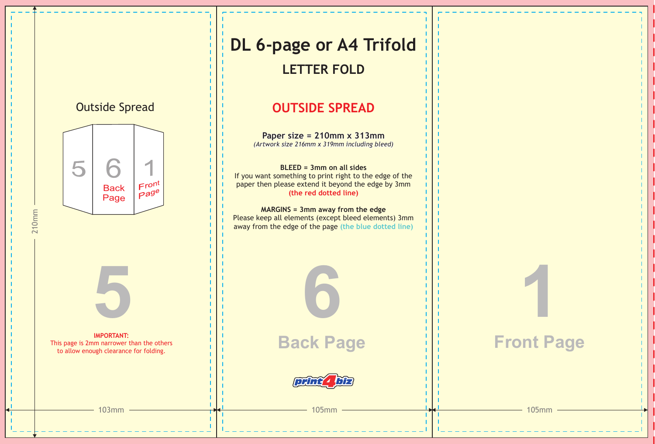